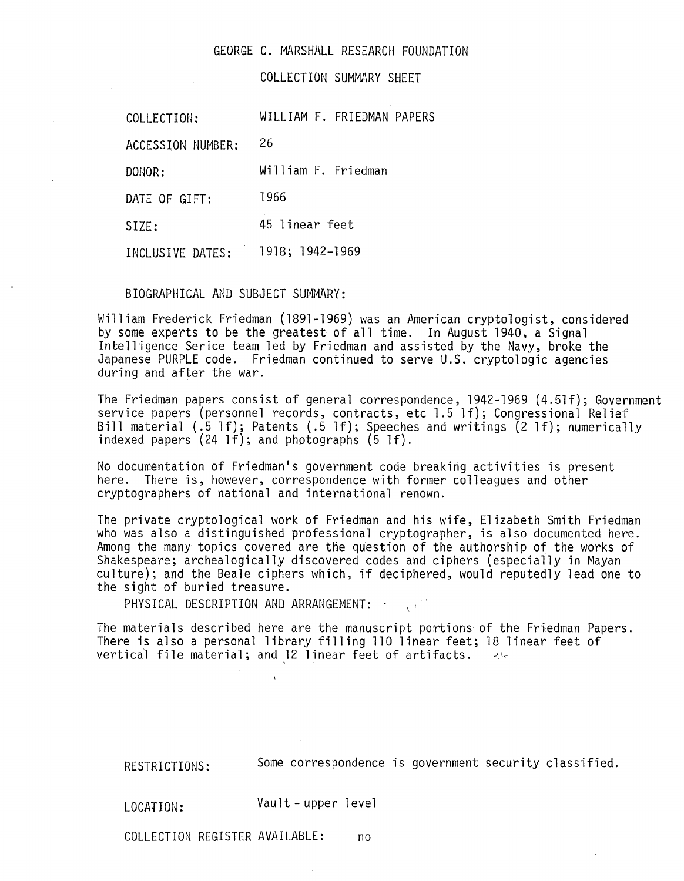## GEORGE C. MARSHALL RESEARCH FOUNDATION

COLLECTION SUMMARY SHEET

COLLECTION: WILLIAM F. FRIEDMAN PAPERS

ACCESSION NUMBER: 26

DONOR: William F. Friedman

DATE OF GIFT: 1966

SIZE: 45 linear feet

INCLUSIVE DATES: 1918; 1942-1969

## BIOGRAPHICAL AND SUBJECT SUMMARY:

William Frederick Friedman (1891-1969) was an American cryptologist, considered<br>by some experts to be the greatest of all time. In August 1940, a Signal Intelligence Serice team led by Friedman and assisted by the Navy, broke the Japanese PURPLE code. Friedman continued to serve U.S. cryptologic agencies<br>during and after the war.

The Friedman papers consist of general correspondence, 1942-1969 (4.51f); Government service papers (personnel records, contracts, etc 1.5 If); Congressional Relief Bill material (.5 1f); Patents (.5 1f); Speeches and writings (2 1f); numerically indexed papers (24 1f); and photographs (5 1f).

No documentation of Friedman's government code breaking activities is present here. There is, however, correspondence with former colleagues and other cryptographers of national and international renown.

The private crypto1ogica1 work of Friedman and his wife, Elizabeth Smith Friedman who was also a distinguished professional cryptographer, is also documented here. Among the many topics covered are the question of the authorship of the works of Shakespeare; archea1ogical1y discovered codes and ciphers (especially in Mayan culture); and the Beale ciphers which, if deciphered, would reputedly lead one to the sight of buried treasure.

PHYSICAL DESCRIPTION AND ARRANGEMENT:  $\cdot$ 

The materials described here are the manuscript portions of the Friedman Papers. There is also a personal library filling 110 linear feet; 18 linear feet of vertical file material; and 12 linear feet of artifacts.  $\Rightarrow \epsilon$ 

RESTRICTIONS: Some correspondence is government security classified.

LOCATION: Vault - upper level

COLLECTION REGISTER AVAILABLE: no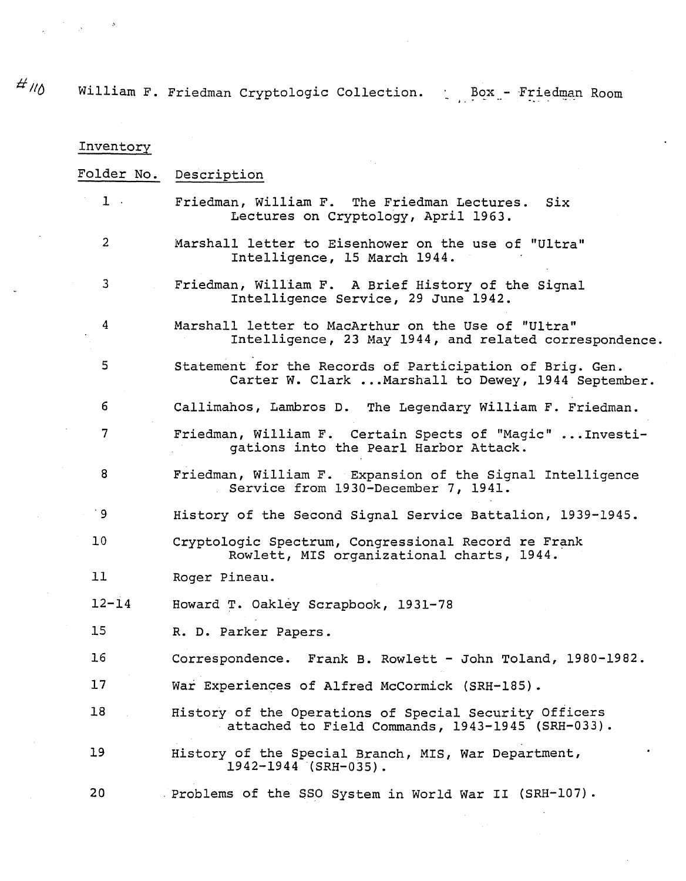tf *I/()* William F. Friedman Cryptologic Collection. , " Box - .. **- ...** "Friedman Room

| Inventory      |                                                                                                                 |
|----------------|-----------------------------------------------------------------------------------------------------------------|
| Folder No.     | Description                                                                                                     |
| $1$ .          | Friedman, William F. The Friedman Lectures.<br>Six<br>Lectures on Cryptology, April 1963.                       |
| $\overline{2}$ | Marshall letter to Eisenhower on the use of "Ultra"<br>Intelligence, 15 March 1944.                             |
| 3              | Friedman, William F. A Brief History of the Signal<br>Intelligence Service, 29 June 1942.                       |
| 4              | Marshall letter to MacArthur on the Use of "Ultra"<br>Intelligence, 23 May 1944, and related correspondence.    |
| 5              | Statement for the Records of Participation of Brig. Gen.<br>Carter W. Clark  Marshall to Dewey, 1944 September. |
| 6              | Callimahos, Lambros D. The Legendary William F. Friedman.                                                       |
| $\overline{7}$ | Friedman, William F. Certain Spects of "Magic"  Investi-<br>gations into the Pearl Harbor Attack.               |
| 8              | Friedman, William F. Expansion of the Signal Intelligence<br>Service from 1930-December 7, 1941.                |
| ' 9            | History of the Second Signal Service Battalion, 1939-1945.                                                      |
| 10             | Cryptologic Spectrum, Congressional Record re Frank<br>Rowlett, MIS organizational charts, 1944.                |
| 11             | Roger Pineau.                                                                                                   |
| $12 - 14$      | Howard T. Oakley Scrapbook, 1931-78                                                                             |
| 15             | R. D. Parker Papers                                                                                             |
| 16             | Correspondence. Frank B. Rowlett - John Toland, 1980-1982.                                                      |
| 17             | War Experiences of Alfred McCormick (SRH-185).                                                                  |
| 18             | History of the Operations of Special Security Officers<br>attached to Field Commands, 1943-1945 (SRH-033).      |
| 19             | $\bullet$<br>History of the Special Branch, MIS, War Department,<br>$1942 - 1944$ (SRH-035).                    |
| 20             | Problems of the SSO System in World War II (SRH-107).                                                           |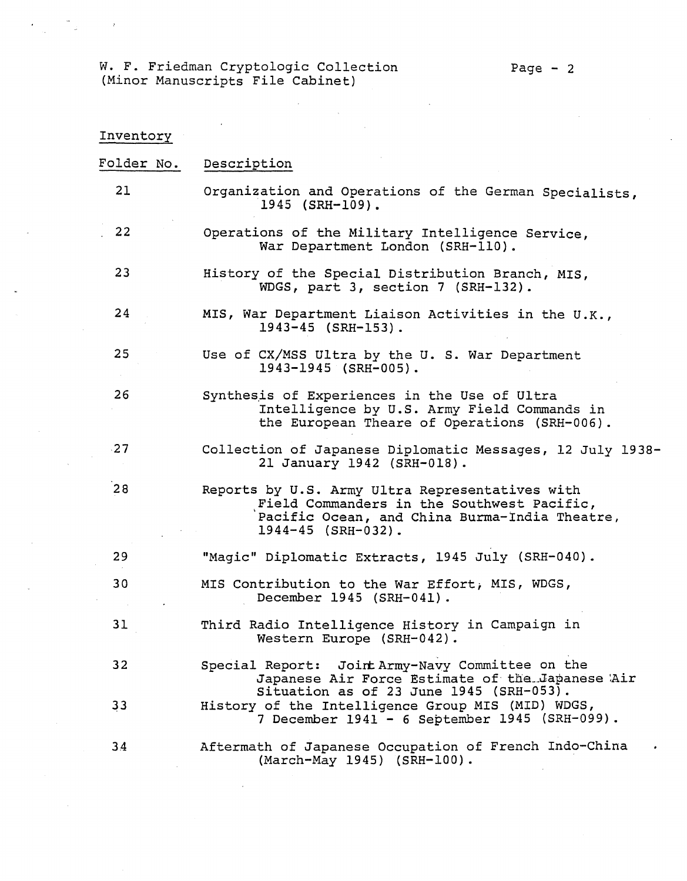W. F. Friedman Cryptologic Collection (Minor Manuscripts File Cabinet)

 $\hat{\mathcal{A}}$ 

 $\label{eq:2.1} \mathcal{F}^{(n)} = \mathcal{F}^{(n)} \otimes \mathcal{F}^{(n)} \otimes \mathcal{F}^{(n)} \otimes \mathcal{F}^{(n)}$ 

 $\mathcal{A}$ 

| Inventory       |                                                                                                                                                                          |
|-----------------|--------------------------------------------------------------------------------------------------------------------------------------------------------------------------|
| Folder No.      | Description                                                                                                                                                              |
| 21              | Organization and Operations of the German Specialists,<br>$1945$ (SRH-109).                                                                                              |
| 22              | Operations of the Military Intelligence Service,<br>War Department London (SRH-110).                                                                                     |
| 23              | History of the Special Distribution Branch, MIS,<br>WDGS, part 3, section 7 (SRH-132).                                                                                   |
| 24              | MIS, War Department Liaison Activities in the U.K.,<br>$1943 - 45$ (SRH-153).                                                                                            |
| 25              | Use of CX/MSS Ultra by the U.S. War Department<br>1943-1945 (SRH-005).                                                                                                   |
| 26              | Synthesis of Experiences in the Use of Ultra<br>Intelligence by U.S. Army Field Commands in<br>the European Theare of Operations (SRH-006).                              |
| $-27$           | Collection of Japanese Diplomatic Messages, 12 July 1938-<br>21 January 1942 (SRH-018).                                                                                  |
| 28              | Reports by U.S. Army Ultra Representatives with<br>Field Commanders in the Southwest Pacific,<br>Pacific Ocean, and China Burma-India Theatre,<br>$1944 - 45$ (SRH-032). |
| 29              | "Magic" Diplomatic Extracts, 1945 July (SRH-040).                                                                                                                        |
| 30              | MIS Contribution to the War Effort, MIS, WDGS,<br>December 1945 (SRH-041).                                                                                               |
| 31              | Third Radio Intelligence History in Campaign in<br>Western Europe (SRH-042).                                                                                             |
| 32 <sub>2</sub> | Special Report: Joint Army-Navy Committee on the<br>Japanese Air Force Estimate of the Japanese Air                                                                      |
| 33              | Situation as of 23 June 1945 (SRH-053).<br>History of the Intelligence Group MIS (MID) WDGS,<br>7 December 1941 - 6 September 1945 (SRH-099).                            |
| 34              | Aftermath of Japanese Occupation of French Indo-China<br>(March-May 1945) (SRH-100).                                                                                     |

 $\sim$   $\sim$ 

 $\label{eq:2.1} \frac{1}{\sqrt{2}}\int_{\mathbb{R}^{2}}\frac{1}{\sqrt{2}}\left(\frac{1}{\sqrt{2}}\right)^{2}dx\leq\frac{1}{2}\int_{\mathbb{R}^{2}}\frac{1}{\sqrt{2}}\left(\frac{1}{\sqrt{2}}\right)^{2}dx$ 

 $\sim$ 

 $\bar{\beta}$